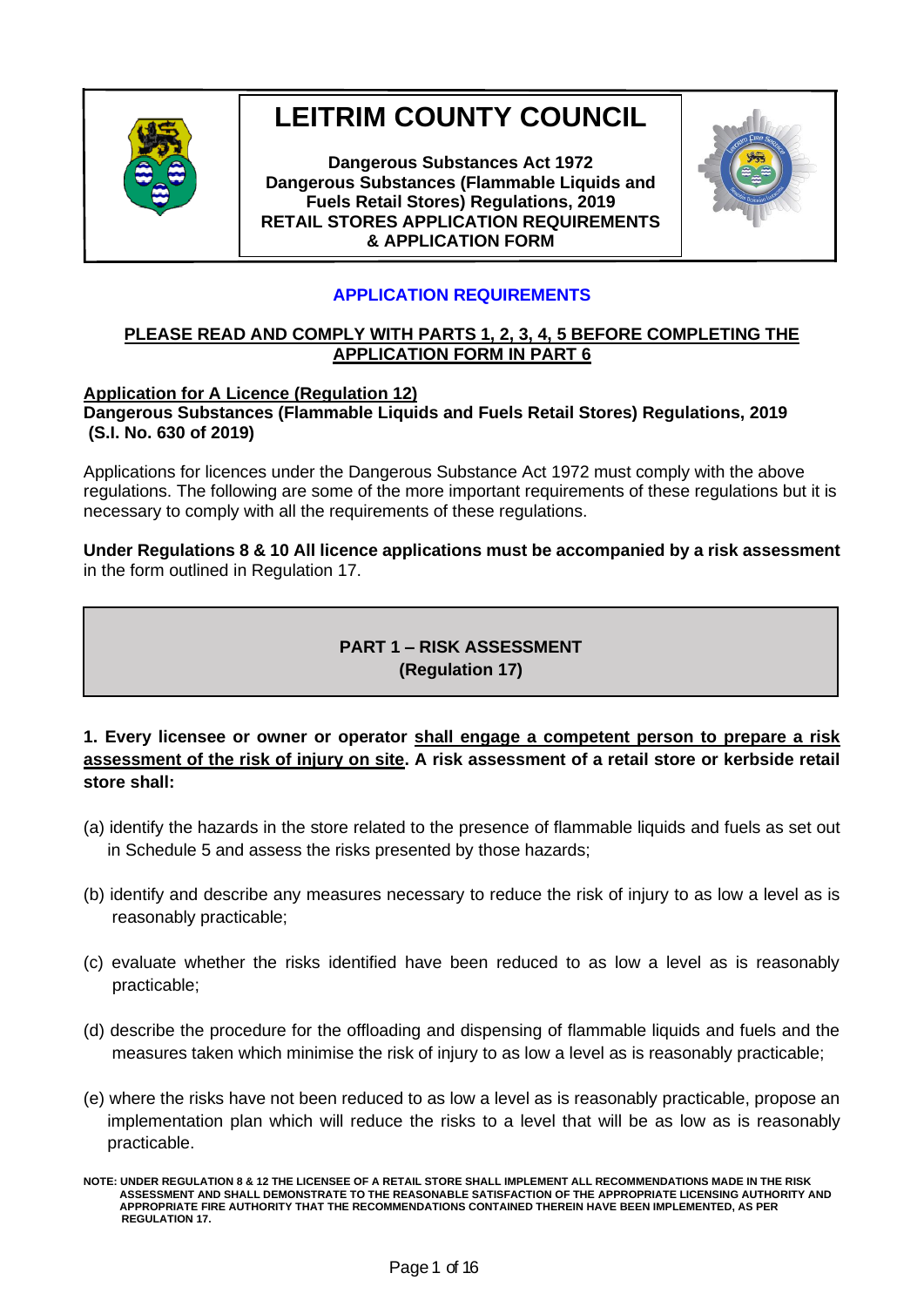

# **LEITRIM COUNTY COUNCIL**

**Dangerous Substances Act 1972 Dangerous Substances (Flammable Liquids and Fuels Retail Stores) Regulations, 2019 RETAIL STORES APPLICATION REQUIREMENTS & APPLICATION FORM**



## **APPLICATION REQUIREMENTS**

#### **PLEASE READ AND COMPLY WITH PARTS 1, 2, 3, 4, 5 BEFORE COMPLETING THE APPLICATION FORM IN PART 6**

#### **Application for A Licence (Regulation 12)**

**Dangerous Substances (Flammable Liquids and Fuels Retail Stores) Regulations, 2019 (S.I. No. 630 of 2019)** 

Applications for licences under the Dangerous Substance Act 1972 must comply with the above regulations. The following are some of the more important requirements of these regulations but it is necessary to comply with all the requirements of these regulations.

**Under Regulations 8 & 10 All licence applications must be accompanied by a risk assessment** in the form outlined in Regulation 17.

## **PART 1 – RISK ASSESSMENT (Regulation 17)**

## **1. Every licensee or owner or operator shall engage a competent person to prepare a risk assessment of the risk of injury on site. A risk assessment of a retail store or kerbside retail store shall:**

- (a) identify the hazards in the store related to the presence of flammable liquids and fuels as set out in Schedule 5 and assess the risks presented by those hazards;
- (b) identify and describe any measures necessary to reduce the risk of injury to as low a level as is reasonably practicable;
- (c) evaluate whether the risks identified have been reduced to as low a level as is reasonably practicable;
- (d) describe the procedure for the offloading and dispensing of flammable liquids and fuels and the measures taken which minimise the risk of injury to as low a level as is reasonably practicable;
- (e) where the risks have not been reduced to as low a level as is reasonably practicable, propose an implementation plan which will reduce the risks to a level that will be as low as is reasonably practicable.

**NOTE: UNDER REGULATION 8 & 12 THE LICENSEE OF A RETAIL STORE SHALL IMPLEMENT ALL RECOMMENDATIONS MADE IN THE RISK ASSESSMENT AND SHALL DEMONSTRATE TO THE REASONABLE SATISFACTION OF THE APPROPRIATE LICENSING AUTHORITY AND APPROPRIATE FIRE AUTHORITY THAT THE RECOMMENDATIONS CONTAINED THEREIN HAVE BEEN IMPLEMENTED, AS PER REGULATION 17.**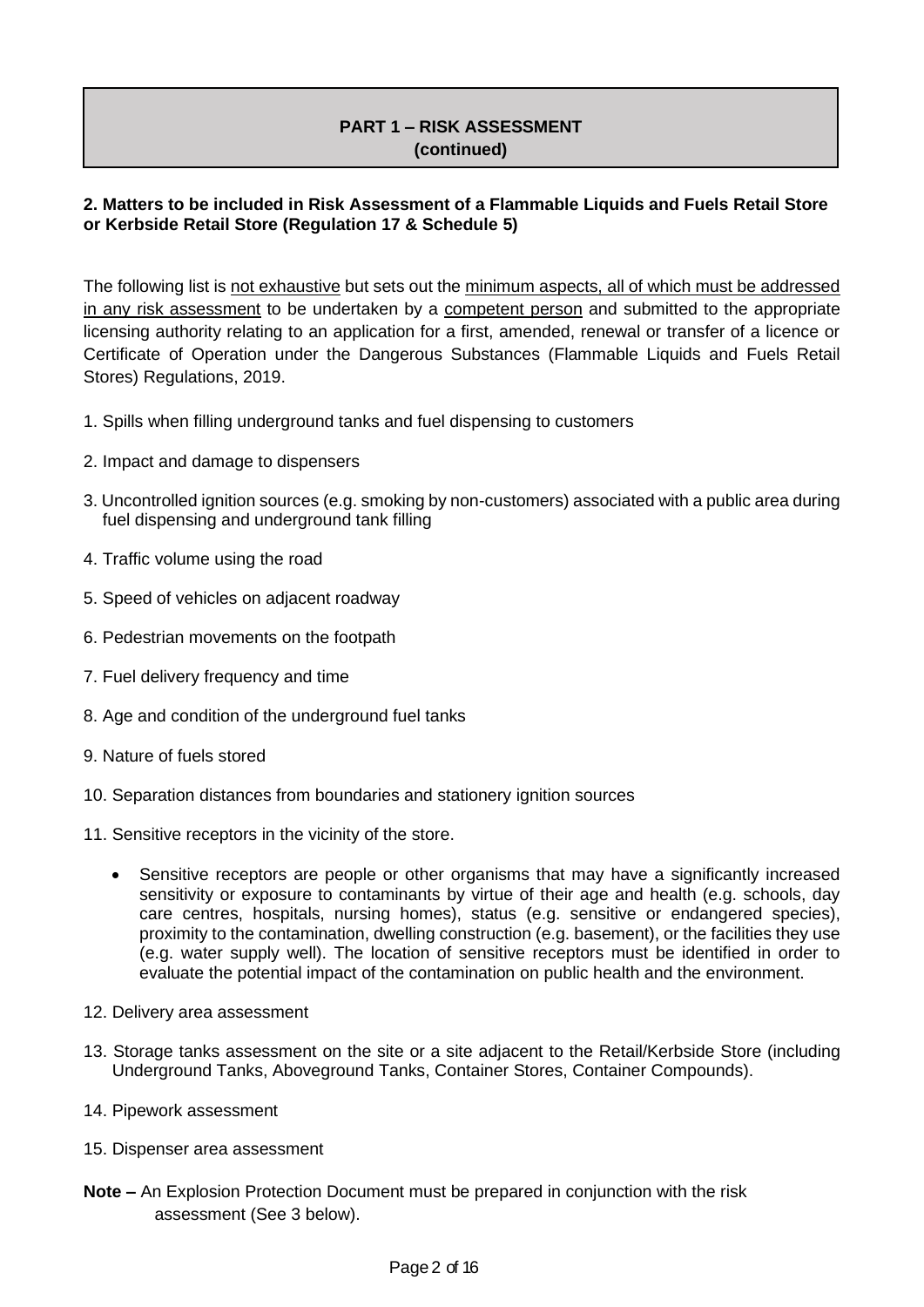## **PART 1 – RISK ASSESSMENT (continued)**

## **2. Matters to be included in Risk Assessment of a Flammable Liquids and Fuels Retail Store or Kerbside Retail Store (Regulation 17 & Schedule 5)**

The following list is not exhaustive but sets out the minimum aspects, all of which must be addressed in any risk assessment to be undertaken by a competent person and submitted to the appropriate licensing authority relating to an application for a first, amended, renewal or transfer of a licence or Certificate of Operation under the Dangerous Substances (Flammable Liquids and Fuels Retail Stores) Regulations, 2019.

- 1. Spills when filling underground tanks and fuel dispensing to customers
- 2. Impact and damage to dispensers
- 3. Uncontrolled ignition sources (e.g. smoking by non-customers) associated with a public area during fuel dispensing and underground tank filling
- 4. Traffic volume using the road
- 5. Speed of vehicles on adjacent roadway
- 6. Pedestrian movements on the footpath
- 7. Fuel delivery frequency and time
- 8. Age and condition of the underground fuel tanks
- 9. Nature of fuels stored
- 10. Separation distances from boundaries and stationery ignition sources
- 11. Sensitive receptors in the vicinity of the store.
	- Sensitive receptors are people or other organisms that may have a significantly increased sensitivity or exposure to contaminants by virtue of their age and health (e.g. schools, day care centres, hospitals, nursing homes), status (e.g. sensitive or endangered species), proximity to the contamination, dwelling construction (e.g. basement), or the facilities they use (e.g. water supply well). The location of sensitive receptors must be identified in order to evaluate the potential impact of the contamination on public health and the environment.
- 12. Delivery area assessment
- 13. Storage tanks assessment on the site or a site adjacent to the Retail/Kerbside Store (including Underground Tanks, Aboveground Tanks, Container Stores, Container Compounds).
- 14. Pipework assessment
- 15. Dispenser area assessment
- **Note –** An Explosion Protection Document must be prepared in conjunction with the risk assessment (See 3 below).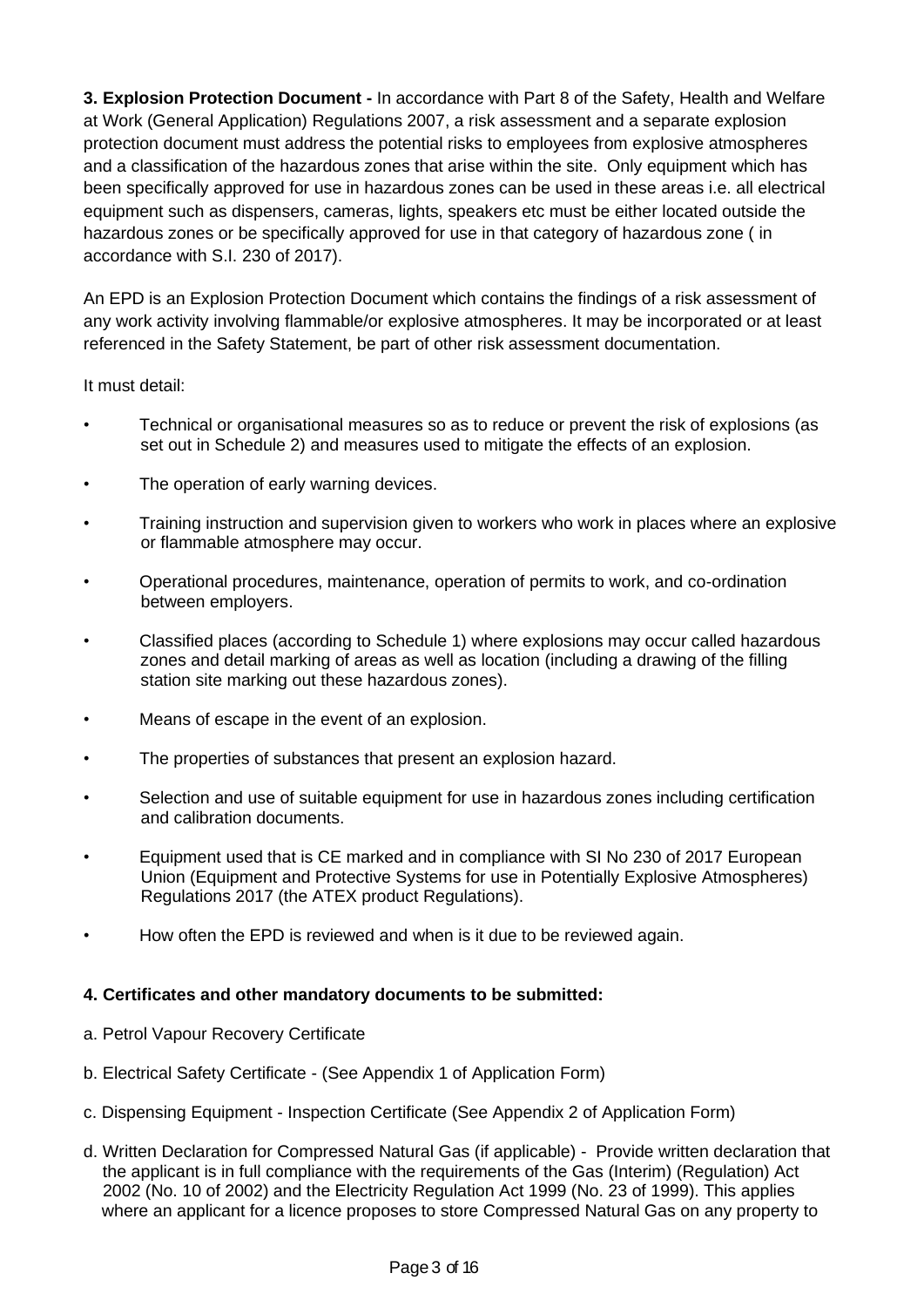**3. Explosion Protection Document -** In accordance with Part 8 of the Safety, Health and Welfare at Work (General Application) Regulations 2007, a risk assessment and a separate explosion protection document must address the potential risks to employees from explosive atmospheres and a classification of the hazardous zones that arise within the site. Only equipment which has been specifically approved for use in hazardous zones can be used in these areas i.e. all electrical equipment such as dispensers, cameras, lights, speakers etc must be either located outside the hazardous zones or be specifically approved for use in that category of hazardous zone ( in accordance with S.I. 230 of 2017).

An EPD is an Explosion Protection Document which contains the findings of a risk assessment of any work activity involving flammable/or explosive atmospheres. It may be incorporated or at least referenced in the Safety Statement, be part of other risk assessment documentation.

It must detail:

- Technical or organisational measures so as to reduce or prevent the risk of explosions (as set out in Schedule 2) and measures used to mitigate the effects of an explosion.
- The operation of early warning devices.
- Training instruction and supervision given to workers who work in places where an explosive or flammable atmosphere may occur.
- Operational procedures, maintenance, operation of permits to work, and co-ordination between employers.
- Classified places (according to Schedule 1) where explosions may occur called hazardous zones and detail marking of areas as well as location (including a drawing of the filling station site marking out these hazardous zones).
- Means of escape in the event of an explosion.
- The properties of substances that present an explosion hazard.
- Selection and use of suitable equipment for use in hazardous zones including certification and calibration documents.
- Equipment used that is CE marked and in compliance with SI No 230 of 2017 European Union (Equipment and Protective Systems for use in Potentially Explosive Atmospheres) Regulations 2017 (the ATEX product Regulations).
- How often the EPD is reviewed and when is it due to be reviewed again.

#### **4. Certificates and other mandatory documents to be submitted:**

- a. Petrol Vapour Recovery Certificate
- b. Electrical Safety Certificate (See Appendix 1 of Application Form)
- c. Dispensing Equipment Inspection Certificate (See Appendix 2 of Application Form)
- d. Written Declaration for Compressed Natural Gas (if applicable) Provide written declaration that the applicant is in full compliance with the requirements of the Gas (Interim) (Regulation) Act 2002 (No. 10 of 2002) and the Electricity Regulation Act 1999 (No. 23 of 1999). This applies where an applicant for a licence proposes to store Compressed Natural Gas on any property to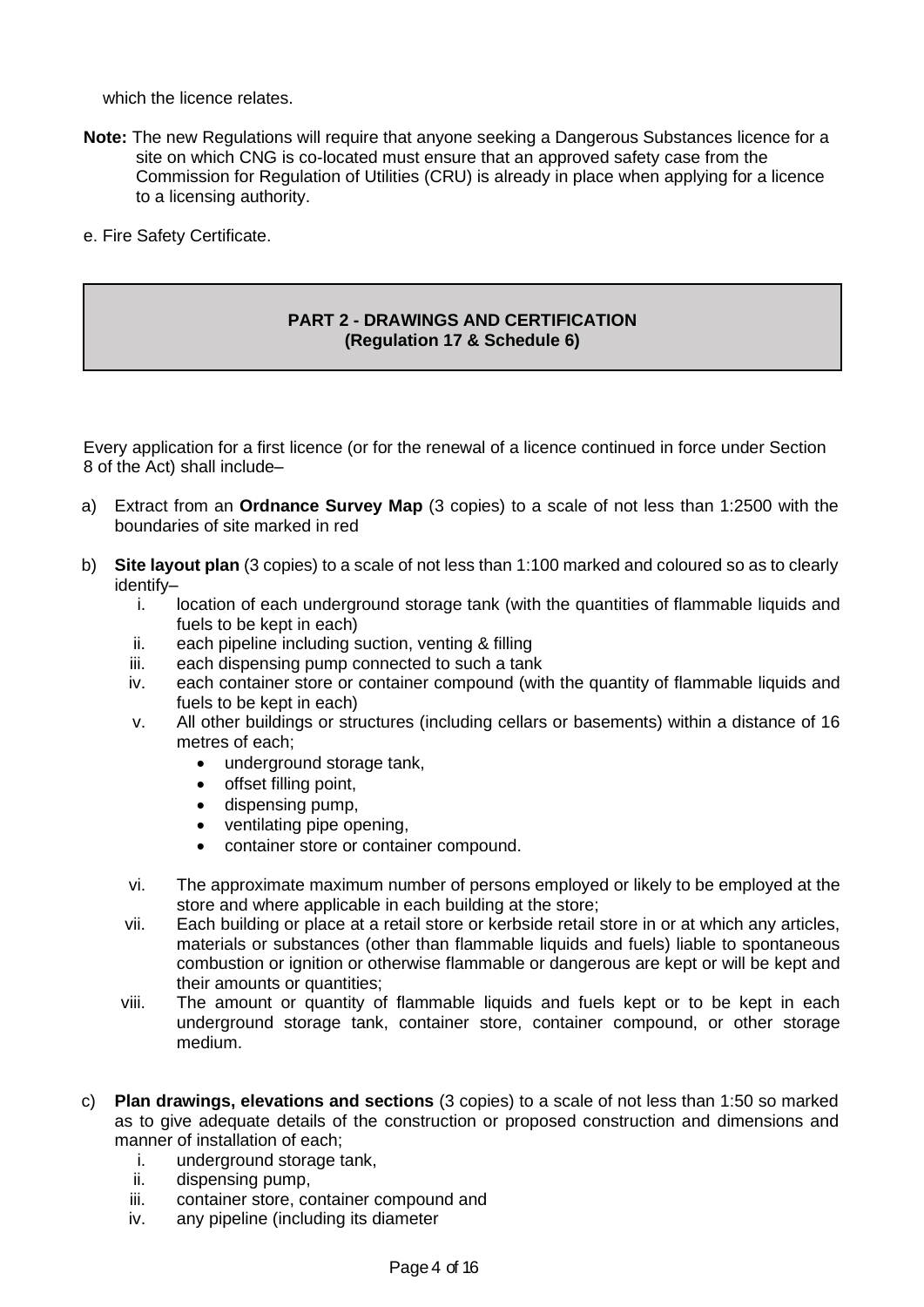which the licence relates.

- **Note:** The new Regulations will require that anyone seeking a Dangerous Substances licence for a site on which CNG is co-located must ensure that an approved safety case from the Commission for Regulation of Utilities (CRU) is already in place when applying for a licence to a licensing authority.
- e. Fire Safety Certificate.

#### **PART 2 - DRAWINGS AND CERTIFICATION (Regulation 17 & Schedule 6)**

Every application for a first licence (or for the renewal of a licence continued in force under Section 8 of the Act) shall include–

- a) Extract from an **Ordnance Survey Map** (3 copies) to a scale of not less than 1:2500 with the boundaries of site marked in red
- b) **Site layout plan** (3 copies) to a scale of not less than 1:100 marked and coloured so as to clearly identify–
	- i. location of each underground storage tank (with the quantities of flammable liquids and fuels to be kept in each)
	- ii. each pipeline including suction, venting & filling
	- iii. each dispensing pump connected to such a tank
	- iv. each container store or container compound (with the quantity of flammable liquids and fuels to be kept in each)
	- v. All other buildings or structures (including cellars or basements) within a distance of 16 metres of each;
		- underground storage tank,
		- offset filling point,
		- dispensing pump,
		- ventilating pipe opening,
		- container store or container compound.
	- vi. The approximate maximum number of persons employed or likely to be employed at the store and where applicable in each building at the store;
	- vii. Each building or place at a retail store or kerbside retail store in or at which any articles, materials or substances (other than flammable liquids and fuels) liable to spontaneous combustion or ignition or otherwise flammable or dangerous are kept or will be kept and their amounts or quantities;
	- viii. The amount or quantity of flammable liquids and fuels kept or to be kept in each underground storage tank, container store, container compound, or other storage medium.
- c) **Plan drawings, elevations and sections** (3 copies) to a scale of not less than 1:50 so marked as to give adequate details of the construction or proposed construction and dimensions and manner of installation of each;
	- i. underground storage tank,
	- ii. dispensing pump,
	- iii. container store, container compound and
	- iv. any pipeline (including its diameter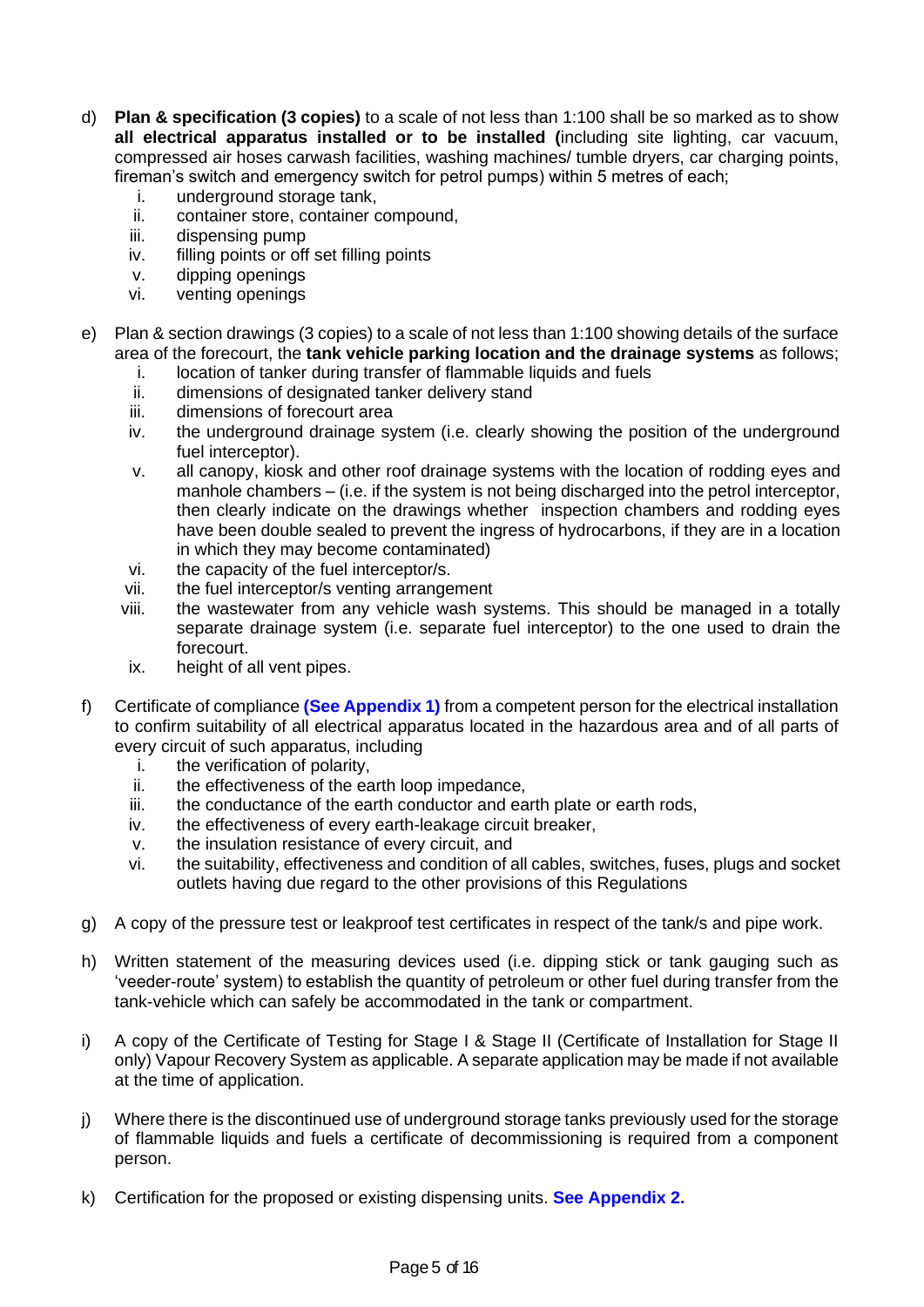- d) **Plan & specification (3 copies)** to a scale of not less than 1:100 shall be so marked as to show **all electrical apparatus installed or to be installed (**including site lighting, car vacuum, compressed air hoses carwash facilities, washing machines/ tumble dryers, car charging points, fireman's switch and emergency switch for petrol pumps) within 5 metres of each;
	- i. underground storage tank,
	- ii. container store, container compound,
	- iii. dispensing pump
	- iv. filling points or off set filling points
	- v. dipping openings
	- vi. venting openings
- e) Plan & section drawings (3 copies) to a scale of not less than 1:100 showing details of the surface area of the forecourt, the **tank vehicle parking location and the drainage systems** as follows;
	- i. location of tanker during transfer of flammable liquids and fuels
	- ii. dimensions of designated tanker delivery stand
	- iii. dimensions of forecourt area
	- iv. the underground drainage system (i.e. clearly showing the position of the underground fuel interceptor).
	- v. all canopy, kiosk and other roof drainage systems with the location of rodding eyes and manhole chambers – (i.e. if the system is not being discharged into the petrol interceptor, then clearly indicate on the drawings whether inspection chambers and rodding eyes have been double sealed to prevent the ingress of hydrocarbons, if they are in a location in which they may become contaminated)
	- vi. the capacity of the fuel interceptor/s.
	- vii. the fuel interceptor/s venting arrangement
	- viii. the wastewater from any vehicle wash systems. This should be managed in a totally separate drainage system (i.e. separate fuel interceptor) to the one used to drain the forecourt.
	- ix. height of all vent pipes.
- f) Certificate of compliance **(See Appendix 1)** from a competent person for the electrical installation to confirm suitability of all electrical apparatus located in the hazardous area and of all parts of every circuit of such apparatus, including
	- i. the verification of polarity,
	- ii. the effectiveness of the earth loop impedance,
	- iii. the conductance of the earth conductor and earth plate or earth rods,
	- iv. the effectiveness of every earth-leakage circuit breaker,
	- v. the insulation resistance of every circuit, and
	- vi. the suitability, effectiveness and condition of all cables, switches, fuses, plugs and socket outlets having due regard to the other provisions of this Regulations
- g) A copy of the pressure test or leakproof test certificates in respect of the tank/s and pipe work.
- h) Written statement of the measuring devices used (i.e. dipping stick or tank gauging such as 'veeder-route' system) to establish the quantity of petroleum or other fuel during transfer from the tank-vehicle which can safely be accommodated in the tank or compartment.
- i) A copy of the Certificate of Testing for Stage I & Stage II (Certificate of Installation for Stage II only) Vapour Recovery System as applicable. A separate application may be made if not available at the time of application.
- j) Where there is the discontinued use of underground storage tanks previously used for the storage of flammable liquids and fuels a certificate of decommissioning is required from a component person.
- k) Certification for the proposed or existing dispensing units. **See Appendix 2.**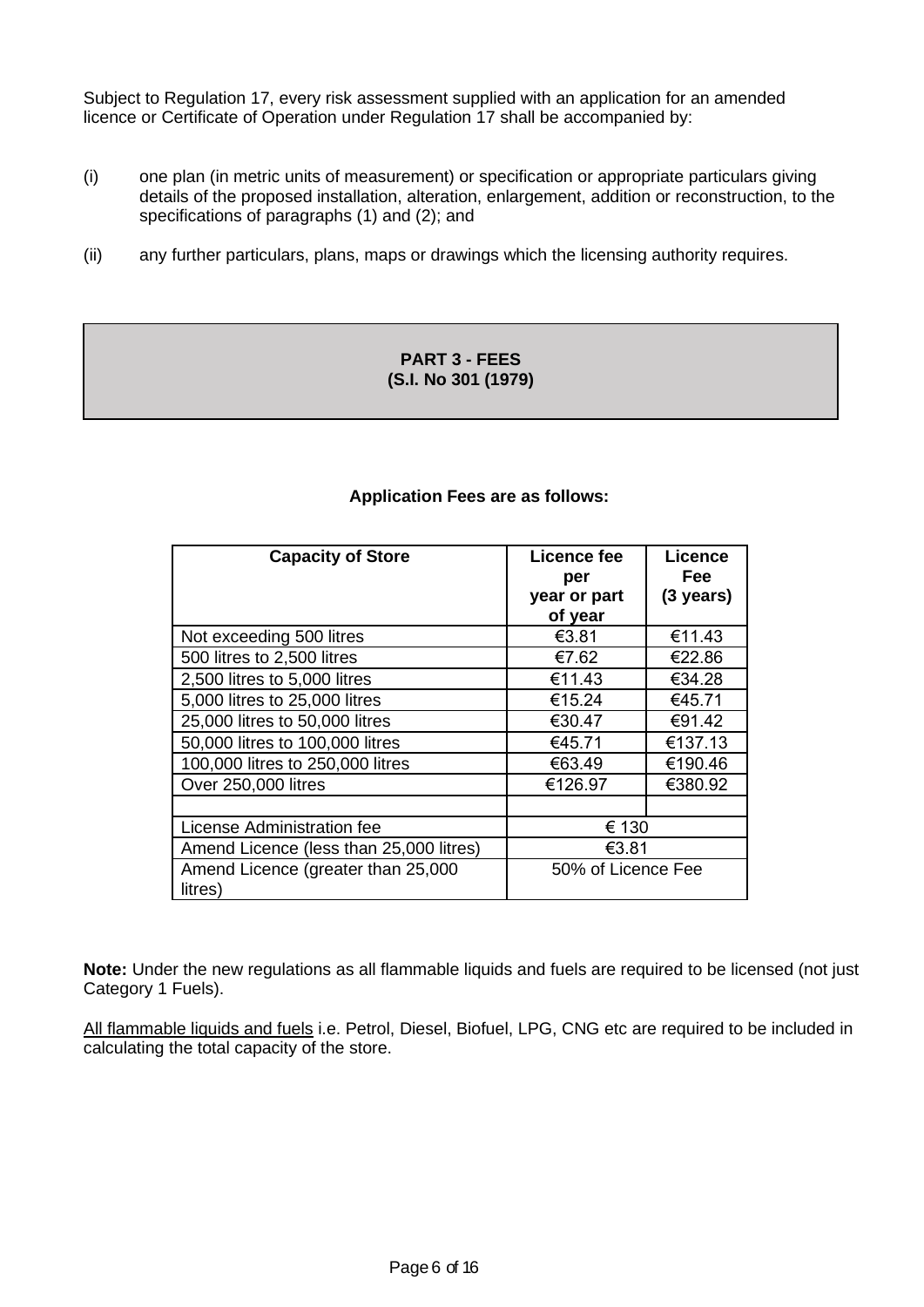Subject to Regulation 17, every risk assessment supplied with an application for an amended licence or Certificate of Operation under Regulation 17 shall be accompanied by:

- (i) one plan (in metric units of measurement) or specification or appropriate particulars giving details of the proposed installation, alteration, enlargement, addition or reconstruction, to the specifications of paragraphs (1) and (2); and
- (ii) any further particulars, plans, maps or drawings which the licensing authority requires.

#### **PART 3 - FEES (S.I. No 301 (1979)**

#### **Application Fees are as follows:**

| <b>Capacity of Store</b>                      | Licence fee<br>per<br>year or part<br>of year | <b>Licence</b><br>Fee<br>$(3 \text{ years})$ |  |
|-----------------------------------------------|-----------------------------------------------|----------------------------------------------|--|
| Not exceeding 500 litres                      | €3.81                                         | €11.43                                       |  |
| 500 litres to 2,500 litres                    | €7.62                                         | €22.86                                       |  |
| 2,500 litres to 5,000 litres                  | €11.43                                        | €34.28                                       |  |
| 5,000 litres to 25,000 litres                 | €15.24                                        | €45.71                                       |  |
| 25,000 litres to 50,000 litres                | €30.47                                        | €91.42                                       |  |
| 50,000 litres to 100,000 litres               | €45.71                                        | €137.13                                      |  |
| 100,000 litres to 250,000 litres              | €63.49                                        | €190.46                                      |  |
| Over 250,000 litres                           | €126.97                                       | €380.92                                      |  |
|                                               |                                               |                                              |  |
| License Administration fee                    | € 130                                         |                                              |  |
| Amend Licence (less than 25,000 litres)       | €3.81                                         |                                              |  |
| Amend Licence (greater than 25,000<br>litres) | 50% of Licence Fee                            |                                              |  |

**Note:** Under the new regulations as all flammable liquids and fuels are required to be licensed (not just Category 1 Fuels).

All flammable liquids and fuels i.e. Petrol, Diesel, Biofuel, LPG, CNG etc are required to be included in calculating the total capacity of the store.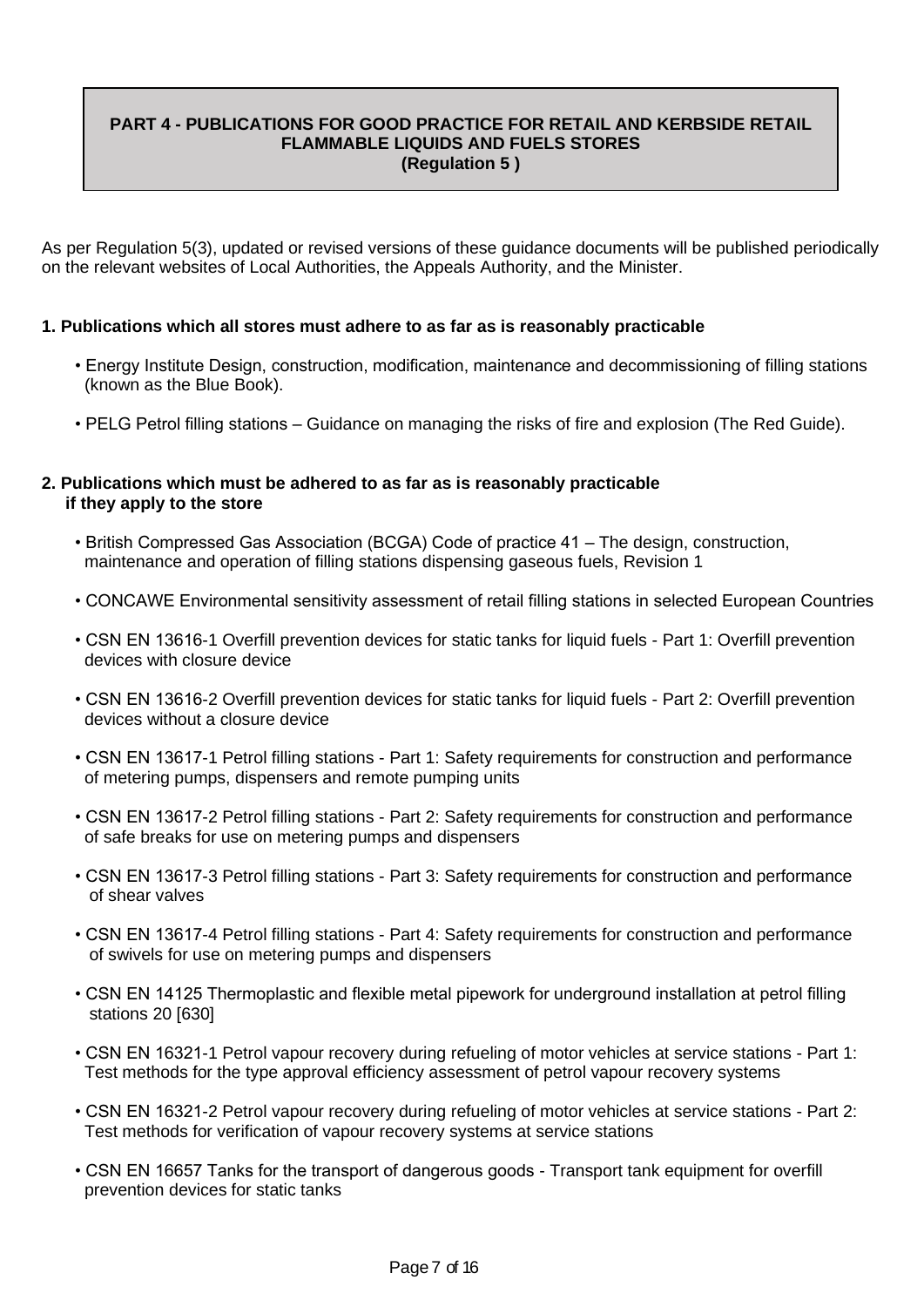#### **PART 4 - PUBLICATIONS FOR GOOD PRACTICE FOR RETAIL AND KERBSIDE RETAIL FLAMMABLE LIQUIDS AND FUELS STORES (Regulation 5 )**

As per Regulation 5(3), updated or revised versions of these guidance documents will be published periodically on the relevant websites of Local Authorities, the Appeals Authority, and the Minister.

#### **1. Publications which all stores must adhere to as far as is reasonably practicable**

- Energy Institute Design, construction, modification, maintenance and decommissioning of filling stations (known as the Blue Book).
- PELG Petrol filling stations Guidance on managing the risks of fire and explosion (The Red Guide).

#### **2. Publications which must be adhered to as far as is reasonably practicable if they apply to the store**

- British Compressed Gas Association (BCGA) Code of practice 41 The design, construction, maintenance and operation of filling stations dispensing gaseous fuels, Revision 1
- CONCAWE Environmental sensitivity assessment of retail filling stations in selected European Countries
- CSN EN 13616-1 Overfill prevention devices for static tanks for liquid fuels Part 1: Overfill prevention devices with closure device
- CSN EN 13616-2 Overfill prevention devices for static tanks for liquid fuels Part 2: Overfill prevention devices without a closure device
- CSN EN 13617-1 Petrol filling stations Part 1: Safety requirements for construction and performance of metering pumps, dispensers and remote pumping units
- CSN EN 13617-2 Petrol filling stations Part 2: Safety requirements for construction and performance of safe breaks for use on metering pumps and dispensers
- CSN EN 13617-3 Petrol filling stations Part 3: Safety requirements for construction and performance of shear valves
- CSN EN 13617-4 Petrol filling stations Part 4: Safety requirements for construction and performance of swivels for use on metering pumps and dispensers
- CSN EN 14125 Thermoplastic and flexible metal pipework for underground installation at petrol filling stations 20 [630]
- CSN EN 16321-1 Petrol vapour recovery during refueling of motor vehicles at service stations Part 1: Test methods for the type approval efficiency assessment of petrol vapour recovery systems
- CSN EN 16321-2 Petrol vapour recovery during refueling of motor vehicles at service stations Part 2: Test methods for verification of vapour recovery systems at service stations
- CSN EN 16657 Tanks for the transport of dangerous goods Transport tank equipment for overfill prevention devices for static tanks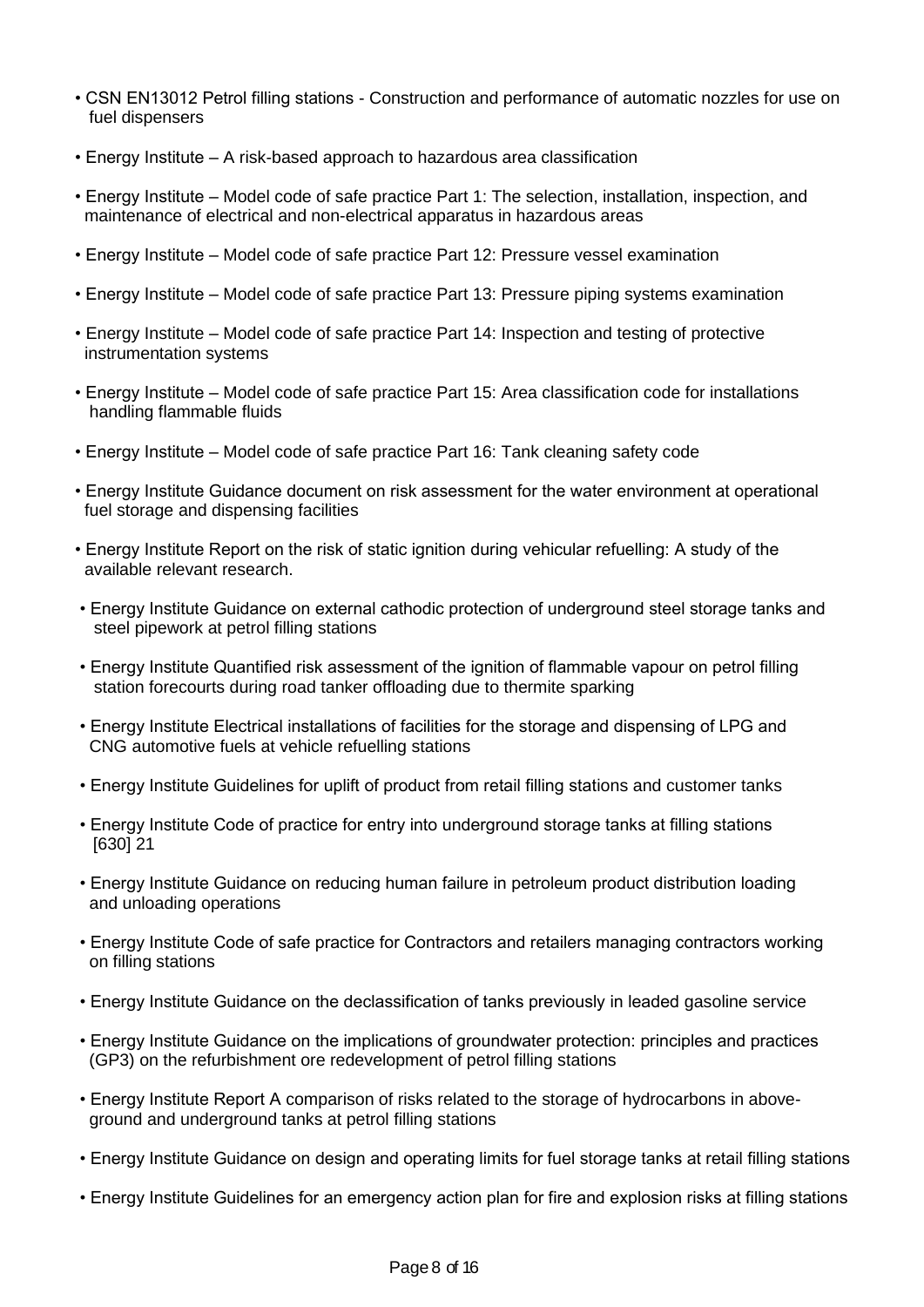- CSN EN13012 Petrol filling stations Construction and performance of automatic nozzles for use on fuel dispensers
- Energy Institute A risk-based approach to hazardous area classification
- Energy Institute Model code of safe practice Part 1: The selection, installation, inspection, and maintenance of electrical and non-electrical apparatus in hazardous areas
- Energy Institute Model code of safe practice Part 12: Pressure vessel examination
- Energy Institute Model code of safe practice Part 13: Pressure piping systems examination
- Energy Institute Model code of safe practice Part 14: Inspection and testing of protective instrumentation systems
- Energy Institute Model code of safe practice Part 15: Area classification code for installations handling flammable fluids
- Energy Institute Model code of safe practice Part 16: Tank cleaning safety code
- Energy Institute Guidance document on risk assessment for the water environment at operational fuel storage and dispensing facilities
- Energy Institute Report on the risk of static ignition during vehicular refuelling: A study of the available relevant research.
- Energy Institute Guidance on external cathodic protection of underground steel storage tanks and steel pipework at petrol filling stations
- Energy Institute Quantified risk assessment of the ignition of flammable vapour on petrol filling station forecourts during road tanker offloading due to thermite sparking
- Energy Institute Electrical installations of facilities for the storage and dispensing of LPG and CNG automotive fuels at vehicle refuelling stations
- Energy Institute Guidelines for uplift of product from retail filling stations and customer tanks
- Energy Institute Code of practice for entry into underground storage tanks at filling stations [630] 21
- Energy Institute Guidance on reducing human failure in petroleum product distribution loading and unloading operations
- Energy Institute Code of safe practice for Contractors and retailers managing contractors working on filling stations
- Energy Institute Guidance on the declassification of tanks previously in leaded gasoline service
- Energy Institute Guidance on the implications of groundwater protection: principles and practices (GP3) on the refurbishment ore redevelopment of petrol filling stations
- Energy Institute Report A comparison of risks related to the storage of hydrocarbons in above ground and underground tanks at petrol filling stations
- Energy Institute Guidance on design and operating limits for fuel storage tanks at retail filling stations
- Energy Institute Guidelines for an emergency action plan for fire and explosion risks at filling stations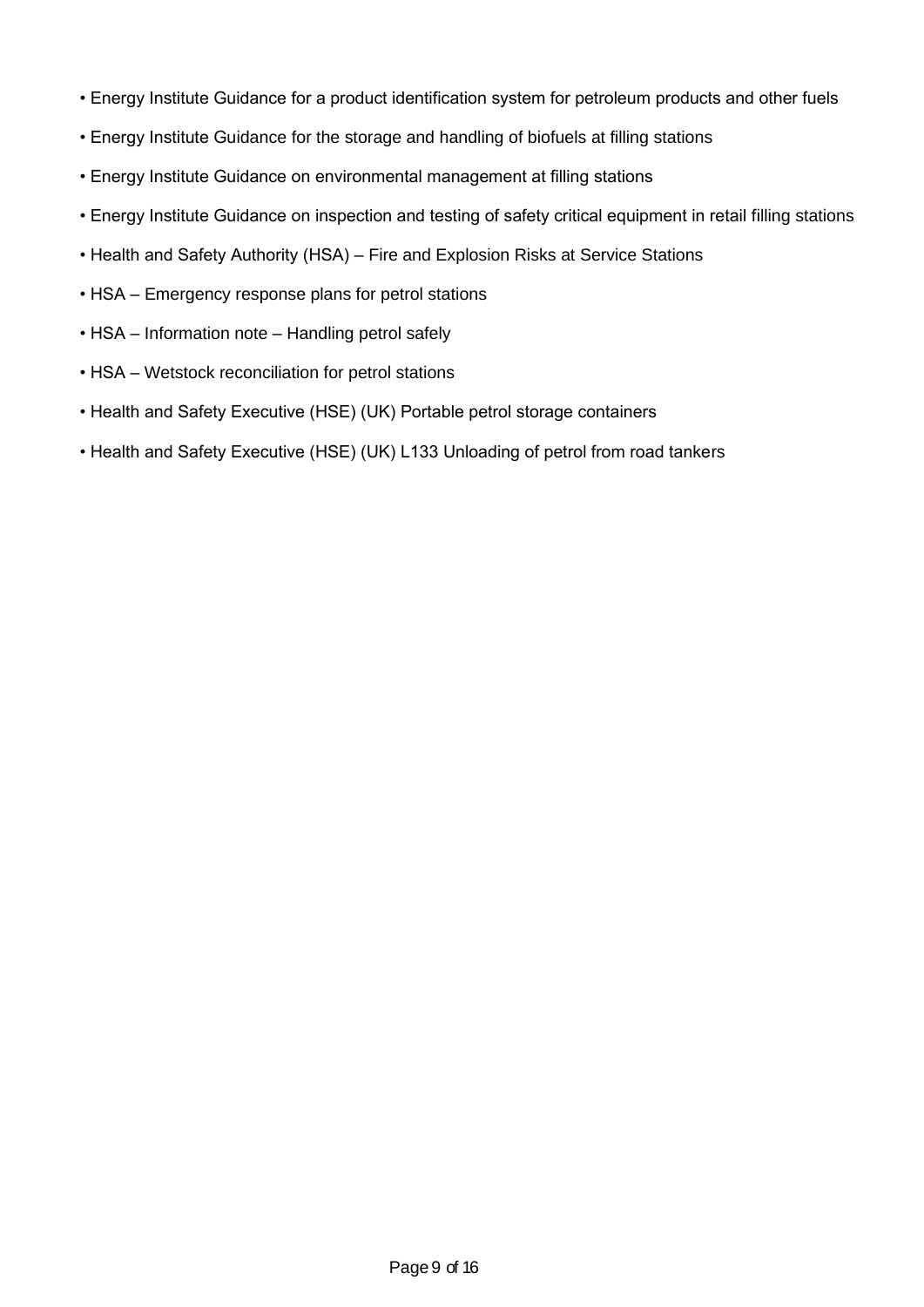- Energy Institute Guidance for a product identification system for petroleum products and other fuels
- Energy Institute Guidance for the storage and handling of biofuels at filling stations
- Energy Institute Guidance on environmental management at filling stations
- Energy Institute Guidance on inspection and testing of safety critical equipment in retail filling stations
- Health and Safety Authority (HSA) Fire and Explosion Risks at Service Stations
- HSA Emergency response plans for petrol stations
- HSA Information note Handling petrol safely
- HSA Wetstock reconciliation for petrol stations
- Health and Safety Executive (HSE) (UK) Portable petrol storage containers
- Health and Safety Executive (HSE) (UK) L133 Unloading of petrol from road tankers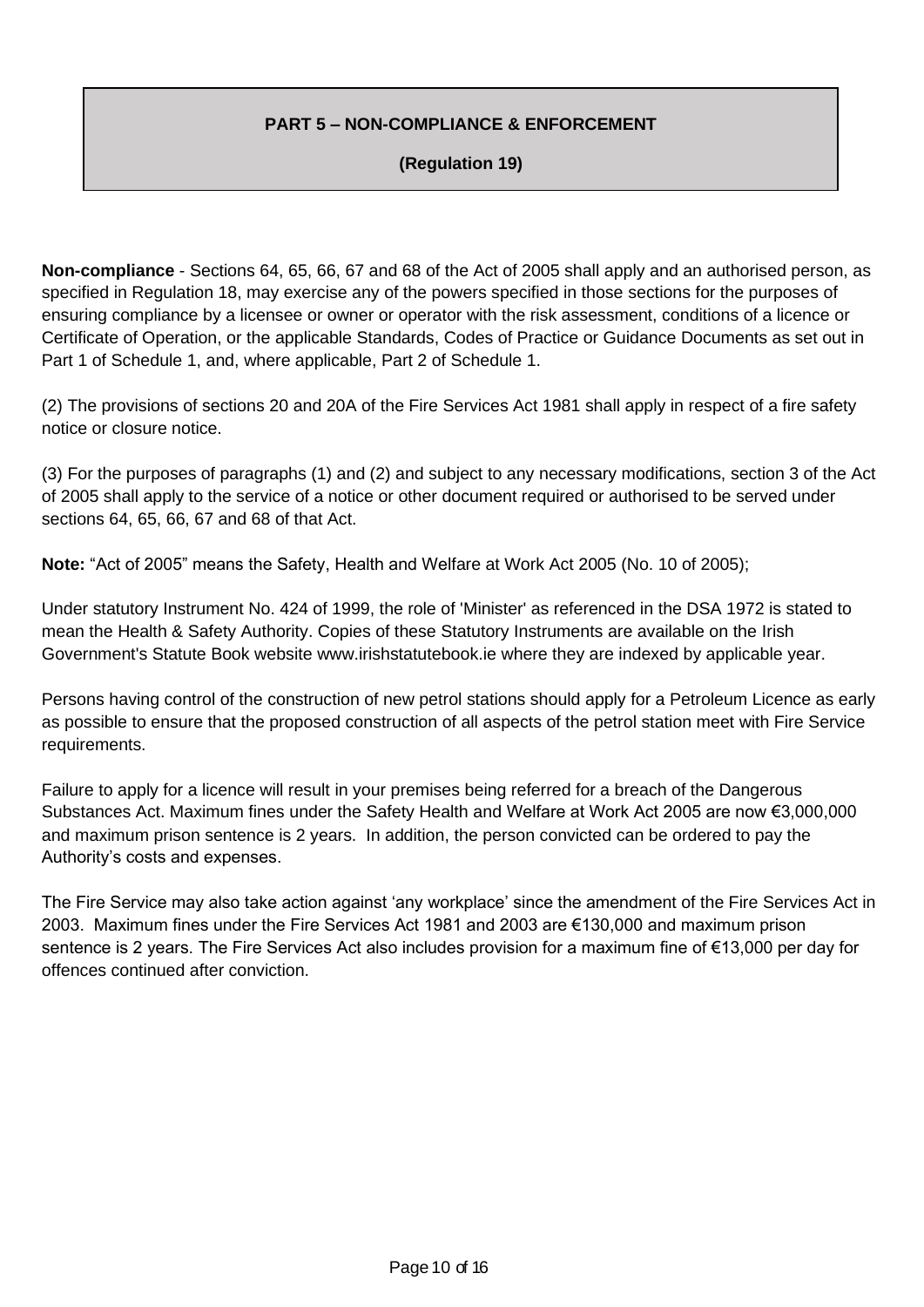## **PART 5 – NON-COMPLIANCE & ENFORCEMENT**

#### **(Regulation 19)**

**Non-compliance** - Sections 64, 65, 66, 67 and 68 of the Act of 2005 shall apply and an authorised person, as specified in Regulation 18, may exercise any of the powers specified in those sections for the purposes of ensuring compliance by a licensee or owner or operator with the risk assessment, conditions of a licence or Certificate of Operation, or the applicable Standards, Codes of Practice or Guidance Documents as set out in Part 1 of Schedule 1, and, where applicable, Part 2 of Schedule 1.

(2) The provisions of sections 20 and 20A of the Fire Services Act 1981 shall apply in respect of a fire safety notice or closure notice.

(3) For the purposes of paragraphs (1) and (2) and subject to any necessary modifications, section 3 of the Act of 2005 shall apply to the service of a notice or other document required or authorised to be served under sections 64, 65, 66, 67 and 68 of that Act.

**Note:** "Act of 2005" means the Safety, Health and Welfare at Work Act 2005 (No. 10 of 2005);

Under statutory Instrument No. 424 of 1999, the role of 'Minister' as referenced in the DSA 1972 is stated to mean the Health & Safety Authority. Copies of these Statutory Instruments are available on the Irish Government's Statute Book website www.irishstatutebook.ie where they are indexed by applicable year.

Persons having control of the construction of new petrol stations should apply for a Petroleum Licence as early as possible to ensure that the proposed construction of all aspects of the petrol station meet with Fire Service requirements.

Failure to apply for a licence will result in your premises being referred for a breach of the Dangerous Substances Act. Maximum fines under the Safety Health and Welfare at Work Act 2005 are now €3,000,000 and maximum prison sentence is 2 years. In addition, the person convicted can be ordered to pay the Authority's costs and expenses.

The Fire Service may also take action against 'any workplace' since the amendment of the Fire Services Act in 2003. Maximum fines under the Fire Services Act 1981 and 2003 are €130,000 and maximum prison sentence is 2 years. The Fire Services Act also includes provision for a maximum fine of €13,000 per day for offences continued after conviction.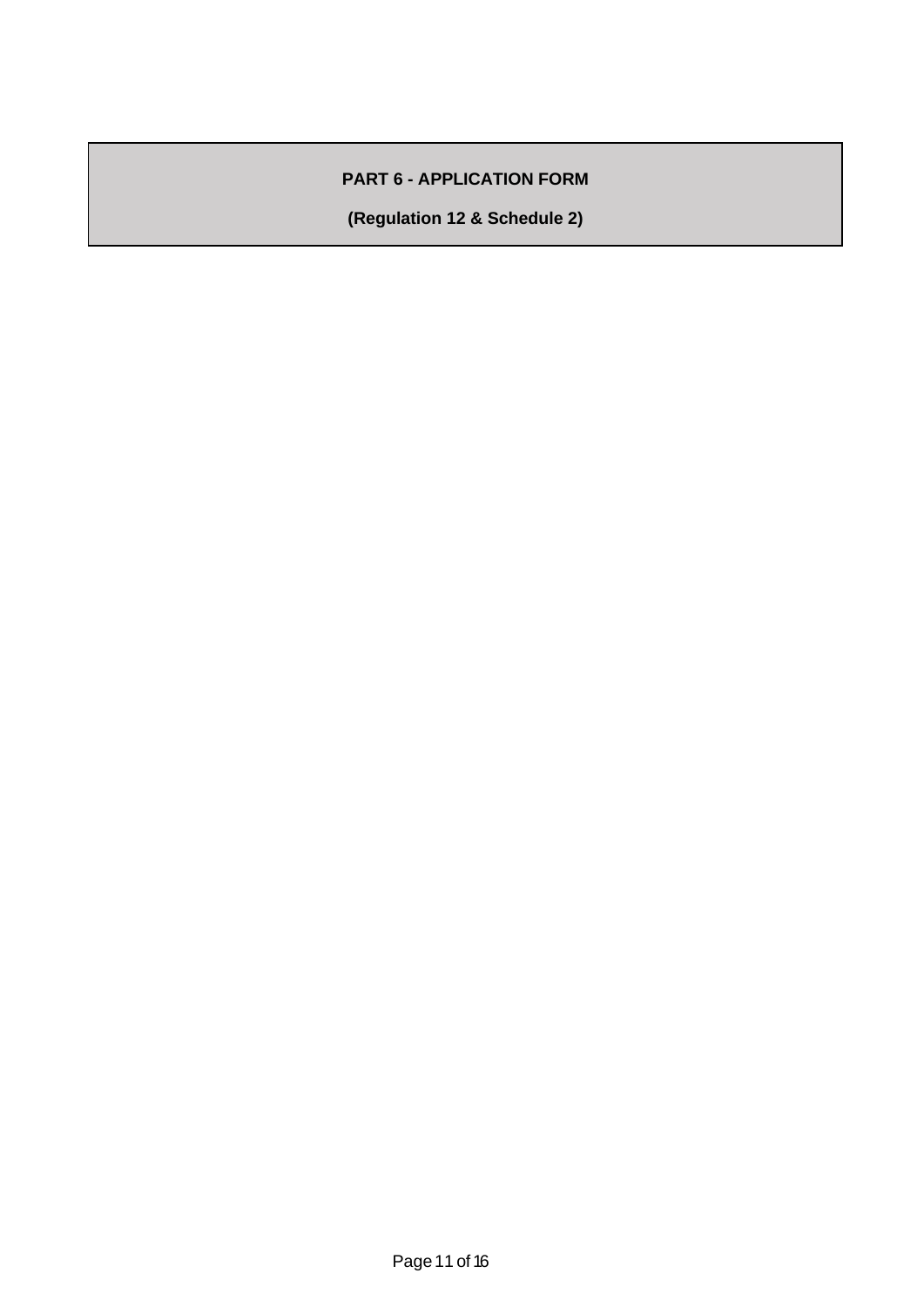## **PART 6 - APPLICATION FORM**

**(Regulation 12 & Schedule 2)**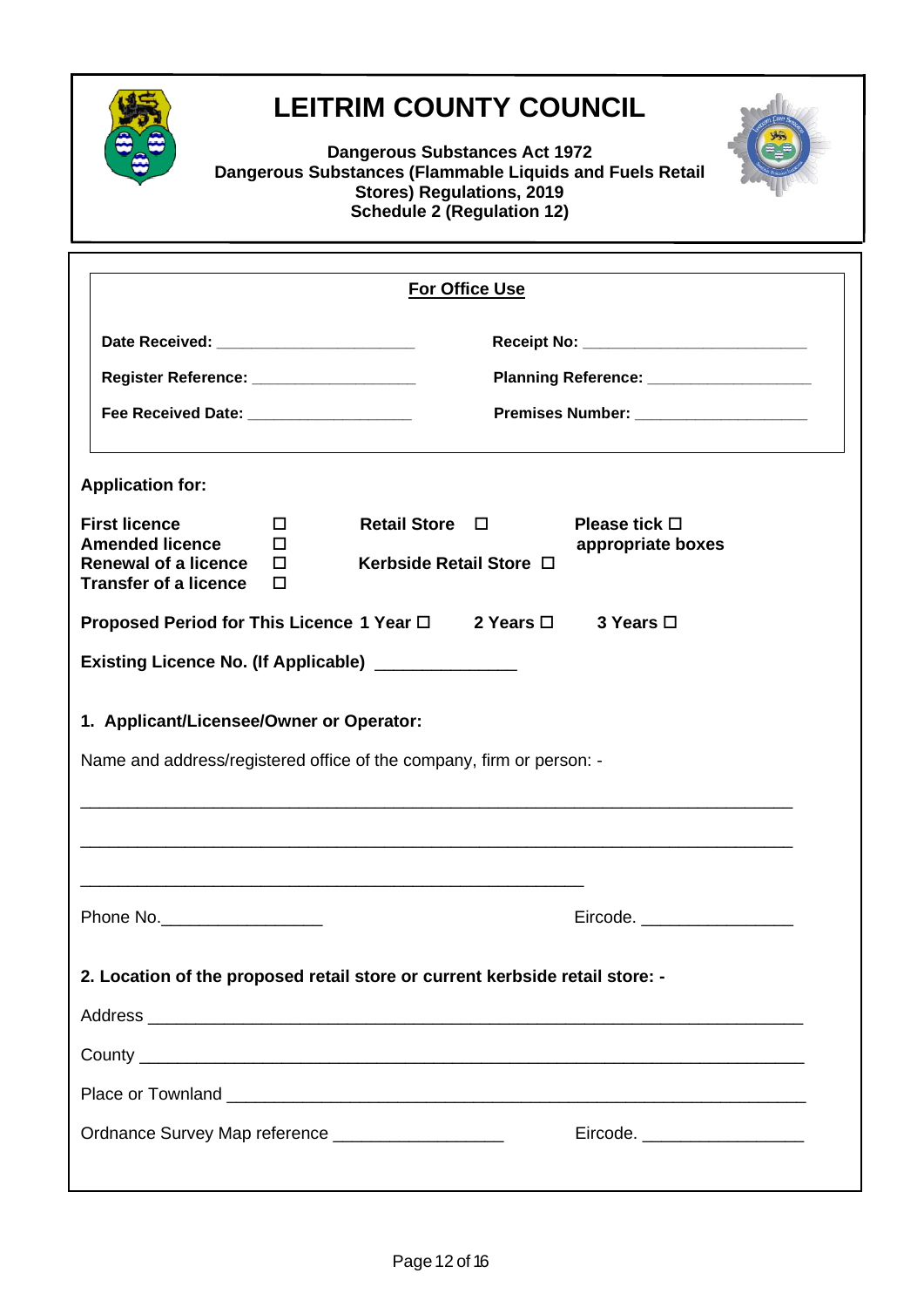

# **LEITRIM COUNTY COUNCIL**

**Dangerous Substances Act 1972 Dangerous Substances (Flammable Liquids and Fuels Retail Stores) Regulations, 2019 Schedule 2 (Regulation 12)**



|                                                                                                                  |                                                                                                                                                                                                                       |                                                | <b>For Office Use</b> |                                         |  |
|------------------------------------------------------------------------------------------------------------------|-----------------------------------------------------------------------------------------------------------------------------------------------------------------------------------------------------------------------|------------------------------------------------|-----------------------|-----------------------------------------|--|
|                                                                                                                  | Date Received: __________________________<br>Register Reference: ____________________<br>Planning Reference: ___________________<br>Fee Received Date: ___________________<br>Premises Number: ______________________ |                                                |                       |                                         |  |
| <b>Application for:</b>                                                                                          |                                                                                                                                                                                                                       |                                                |                       |                                         |  |
| <b>First licence</b><br><b>Amended licence</b><br><b>Renewal of a licence</b><br><b>Transfer of a licence</b>    | П<br>п<br>П<br>П                                                                                                                                                                                                      | <b>Retail Store</b><br>Kerbside Retail Store □ | $\Box$                | Please tick $\Box$<br>appropriate boxes |  |
| Proposed Period for This Licence 1 Year $\Box$ 2 Years $\Box$                                                    |                                                                                                                                                                                                                       |                                                |                       | 3 Years □                               |  |
| Existing Licence No. (If Applicable) _______________                                                             |                                                                                                                                                                                                                       |                                                |                       |                                         |  |
| 1. Applicant/Licensee/Owner or Operator:<br>Name and address/registered office of the company, firm or person: - |                                                                                                                                                                                                                       |                                                |                       |                                         |  |
|                                                                                                                  |                                                                                                                                                                                                                       |                                                |                       |                                         |  |
| Phone No.                                                                                                        |                                                                                                                                                                                                                       |                                                |                       | Eircode. ____________________           |  |
| 2. Location of the proposed retail store or current kerbside retail store: -                                     |                                                                                                                                                                                                                       |                                                |                       |                                         |  |
|                                                                                                                  |                                                                                                                                                                                                                       |                                                |                       |                                         |  |
|                                                                                                                  |                                                                                                                                                                                                                       |                                                |                       |                                         |  |
|                                                                                                                  |                                                                                                                                                                                                                       |                                                |                       |                                         |  |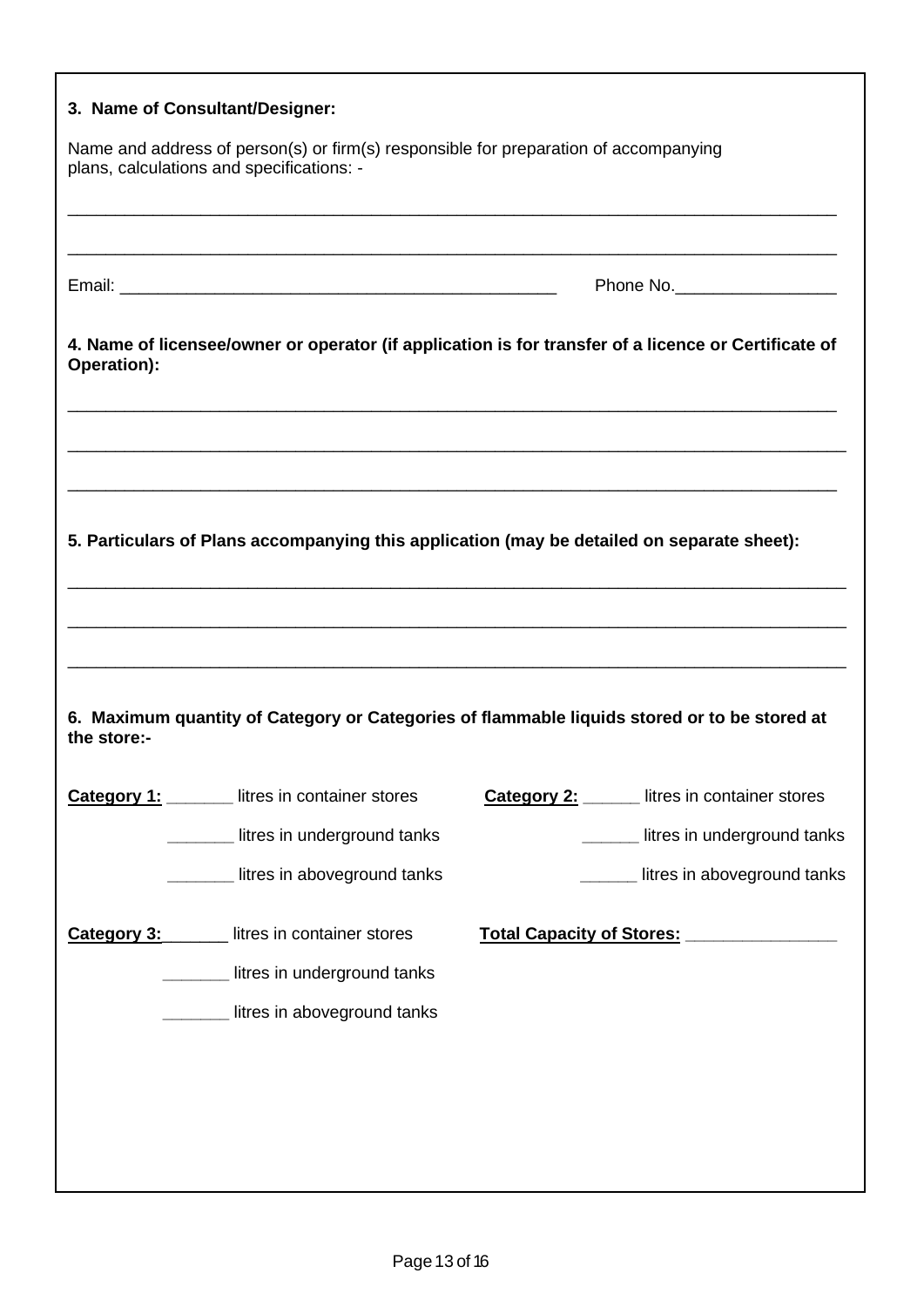|                                                                                                                                   | 3. Name of Consultant/Designer:                                                                      |  |                                               |  |
|-----------------------------------------------------------------------------------------------------------------------------------|------------------------------------------------------------------------------------------------------|--|-----------------------------------------------|--|
| Name and address of person(s) or firm(s) responsible for preparation of accompanying<br>plans, calculations and specifications: - |                                                                                                      |  |                                               |  |
|                                                                                                                                   |                                                                                                      |  |                                               |  |
|                                                                                                                                   | Phone No._____________________                                                                       |  |                                               |  |
| Operation):                                                                                                                       | 4. Name of licensee/owner or operator (if application is for transfer of a licence or Certificate of |  |                                               |  |
|                                                                                                                                   |                                                                                                      |  |                                               |  |
|                                                                                                                                   | 5. Particulars of Plans accompanying this application (may be detailed on separate sheet):           |  |                                               |  |
|                                                                                                                                   |                                                                                                      |  |                                               |  |
|                                                                                                                                   |                                                                                                      |  |                                               |  |
| the store:-                                                                                                                       | 6. Maximum quantity of Category or Categories of flammable liquids stored or to be stored at         |  |                                               |  |
|                                                                                                                                   | <b>Category 1:</b> Iitres in container stores                                                        |  | <b>Category 2:</b> litres in container stores |  |
|                                                                                                                                   | litres in underground tanks                                                                          |  | litres in underground tanks                   |  |
|                                                                                                                                   | litres in aboveground tanks                                                                          |  | litres in aboveground tanks                   |  |
|                                                                                                                                   | <b>Category 3:</b> litres in container stores                                                        |  | Total Capacity of Stores: 1994 1994           |  |
|                                                                                                                                   | litres in underground tanks                                                                          |  |                                               |  |
|                                                                                                                                   | litres in aboveground tanks                                                                          |  |                                               |  |
|                                                                                                                                   |                                                                                                      |  |                                               |  |
|                                                                                                                                   |                                                                                                      |  |                                               |  |
|                                                                                                                                   |                                                                                                      |  |                                               |  |
|                                                                                                                                   |                                                                                                      |  |                                               |  |

г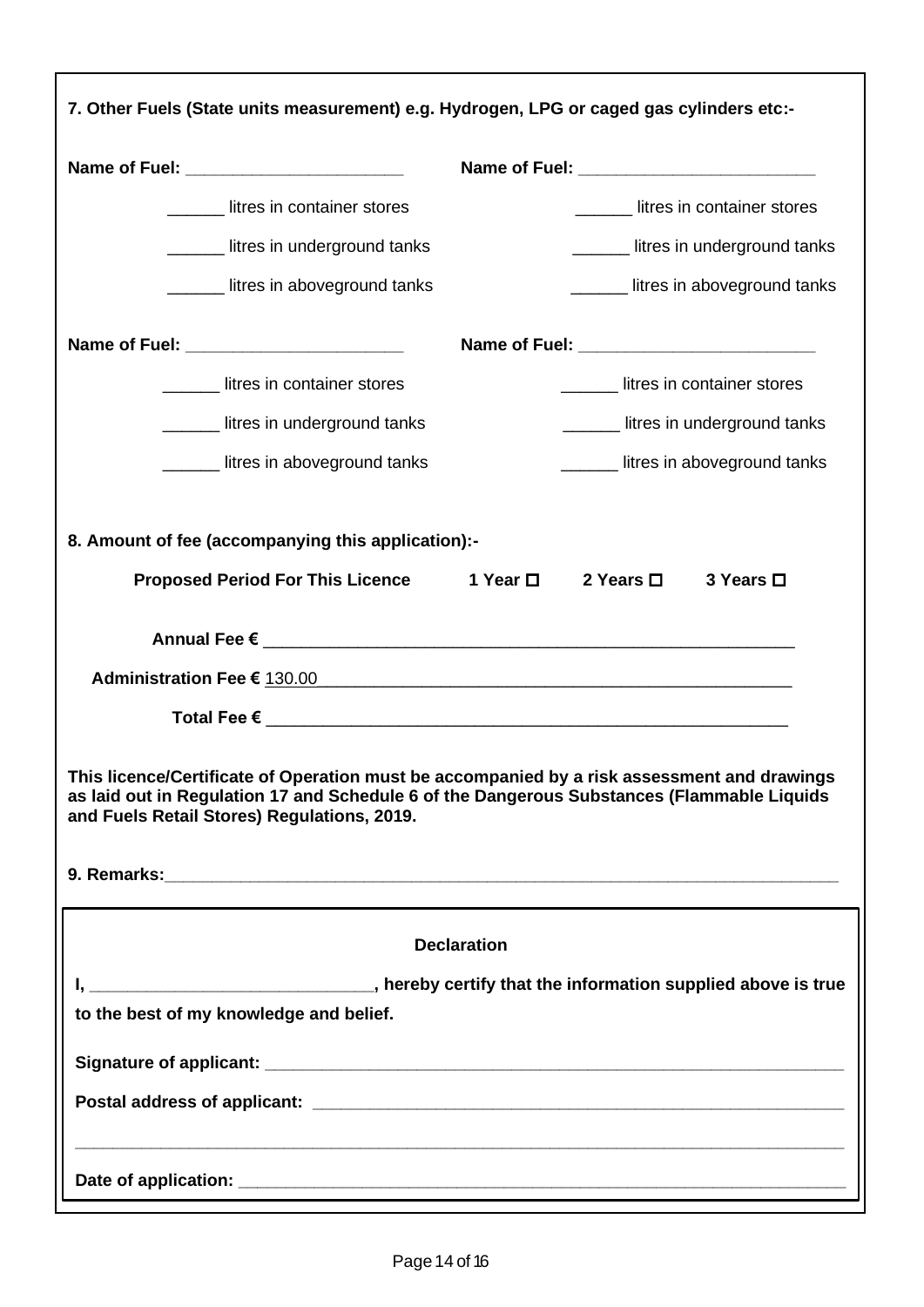| 7. Other Fuels (State units measurement) e.g. Hydrogen, LPG or caged gas cylinders etc:-                                                                                                                                                 |                                     |  |  |  |  |  |
|------------------------------------------------------------------------------------------------------------------------------------------------------------------------------------------------------------------------------------------|-------------------------------------|--|--|--|--|--|
|                                                                                                                                                                                                                                          |                                     |  |  |  |  |  |
| ________ litres in container stores                                                                                                                                                                                                      | litres in container stores          |  |  |  |  |  |
| litres in underground tanks                                                                                                                                                                                                              | Letter in underground tanks         |  |  |  |  |  |
| ______ litres in aboveground tanks                                                                                                                                                                                                       | Letter in above ground tanks        |  |  |  |  |  |
| Name of Fuel: ___________________________                                                                                                                                                                                                |                                     |  |  |  |  |  |
| ________ litres in container stores                                                                                                                                                                                                      | ________ litres in container stores |  |  |  |  |  |
| Letter in underground tanks                                                                                                                                                                                                              | ______ litres in underground tanks  |  |  |  |  |  |
| Letter in above ground tanks                                                                                                                                                                                                             | litres in aboveground tanks         |  |  |  |  |  |
| 8. Amount of fee (accompanying this application):-<br>Proposed Period For This Licence 1 Year □ 2 Years □                                                                                                                                | 3 Years □                           |  |  |  |  |  |
| Administration Fee € 130.00 and the contract of the contract of the contract of the contract of the contract of the contract of the contract of the contract of the contract of the contract of the contract of the contract             |                                     |  |  |  |  |  |
|                                                                                                                                                                                                                                          |                                     |  |  |  |  |  |
| This licence/Certificate of Operation must be accompanied by a risk assessment and drawings<br>as laid out in Regulation 17 and Schedule 6 of the Dangerous Substances (Flammable Liquids<br>and Fuels Retail Stores) Regulations, 2019. |                                     |  |  |  |  |  |
| <b>Declaration</b>                                                                                                                                                                                                                       |                                     |  |  |  |  |  |
|                                                                                                                                                                                                                                          |                                     |  |  |  |  |  |
| to the best of my knowledge and belief.                                                                                                                                                                                                  |                                     |  |  |  |  |  |
|                                                                                                                                                                                                                                          |                                     |  |  |  |  |  |
|                                                                                                                                                                                                                                          |                                     |  |  |  |  |  |
|                                                                                                                                                                                                                                          |                                     |  |  |  |  |  |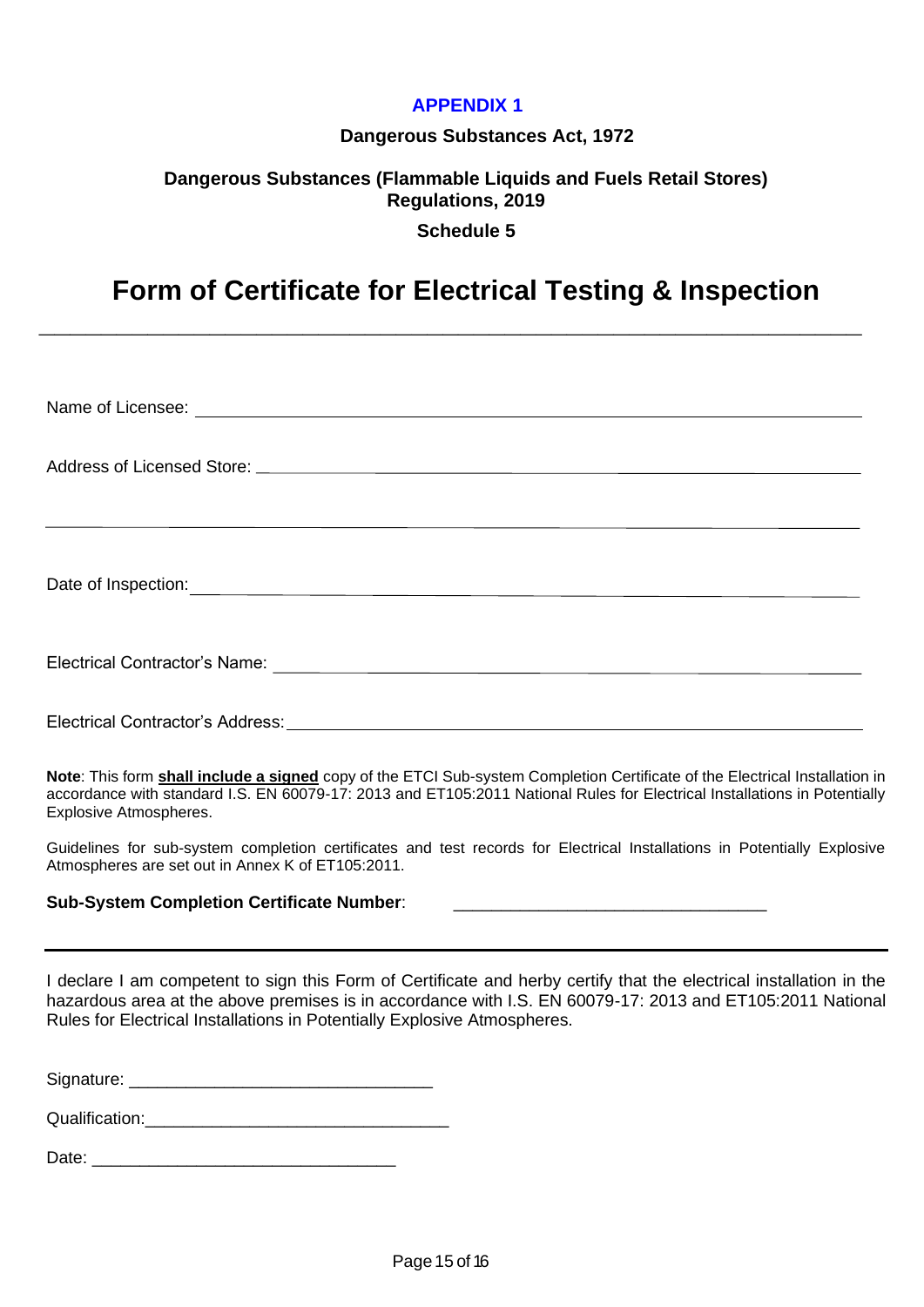## **APPENDIX 1**

#### **Dangerous Substances Act, 1972**

## **Dangerous Substances (Flammable Liquids and Fuels Retail Stores) Regulations, 2019 Schedule 5**

## **Form of Certificate for Electrical Testing & Inspection**

**\_\_\_\_\_\_\_\_\_\_\_\_\_\_\_\_\_\_\_\_\_\_\_\_\_\_\_\_\_\_\_\_\_\_\_\_\_\_\_\_\_\_\_\_\_\_\_\_\_\_\_\_\_**

| Date of Inspection:<br><u> Letter and the contract of the contract of the contract of the contract of the contract of the contract of the contract of the contract of the contract of the contract of the contract of the contract</u> |
|----------------------------------------------------------------------------------------------------------------------------------------------------------------------------------------------------------------------------------------|
|                                                                                                                                                                                                                                        |
|                                                                                                                                                                                                                                        |

**Note**: This form **shall include a signed** copy of the ETCI Sub-system Completion Certificate of the Electrical Installation in accordance with standard I.S. EN 60079-17: 2013 and ET105:2011 National Rules for Electrical Installations in Potentially Explosive Atmospheres.

Guidelines for sub-system completion certificates and test records for Electrical Installations in Potentially Explosive Atmospheres are set out in Annex K of ET105:2011.

#### **Sub-System Completion Certificate Number:**

I declare I am competent to sign this Form of Certificate and herby certify that the electrical installation in the hazardous area at the above premises is in accordance with I.S. EN 60079-17: 2013 and ET105:2011 National Rules for Electrical Installations in Potentially Explosive Atmospheres.

Signature: \_\_\_\_\_\_\_\_\_\_\_\_\_\_\_\_\_\_\_\_\_\_\_\_\_\_\_\_\_\_\_\_

Qualification:\_\_\_\_\_\_\_\_\_\_\_\_\_\_\_\_\_\_\_\_\_\_\_\_\_\_\_\_\_\_\_\_

Date: